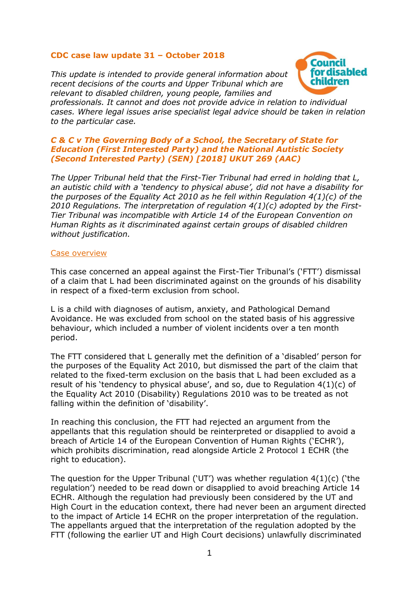# **CDC case law update 31 – October 2018**

*This update is intended to provide general information about recent decisions of the courts and Upper Tribunal which are relevant to disabled children, young people, families and* 



*professionals. It cannot and does not provide advice in relation to individual cases. Where legal issues arise specialist legal advice should be taken in relation to the particular case.*

# *C & C v The Governing Body of a School, the Secretary of State for Education (First Interested Party) and the National Autistic Society (Second Interested Party) (SEN) [2018] UKUT 269 (AAC)*

*The Upper Tribunal held that the First-Tier Tribunal had erred in holding that L, an autistic child with a 'tendency to physical abuse', did not have a disability for the purposes of the Equality Act 2010 as he fell within Regulation 4(1)(c) of the 2010 Regulations. The interpretation of regulation 4(1)(c) adopted by the First-Tier Tribunal was incompatible with Article 14 of the European Convention on Human Rights as it discriminated against certain groups of disabled children without justification.*

### Case overview

This case concerned an appeal against the First-Tier Tribunal's ('FTT') dismissal of a claim that L had been discriminated against on the grounds of his disability in respect of a fixed-term exclusion from school.

L is a child with diagnoses of autism, anxiety, and Pathological Demand Avoidance. He was excluded from school on the stated basis of his aggressive behaviour, which included a number of violent incidents over a ten month period.

The FTT considered that L generally met the definition of a 'disabled' person for the purposes of the Equality Act 2010, but dismissed the part of the claim that related to the fixed-term exclusion on the basis that L had been excluded as a result of his 'tendency to physical abuse', and so, due to Regulation  $4(1)(c)$  of the Equality Act 2010 (Disability) Regulations 2010 was to be treated as not falling within the definition of 'disability'.

In reaching this conclusion, the FTT had rejected an argument from the appellants that this regulation should be reinterpreted or disapplied to avoid a breach of Article 14 of the European Convention of Human Rights ('ECHR'), which prohibits discrimination, read alongside Article 2 Protocol 1 ECHR (the right to education).

The question for the Upper Tribunal ('UT') was whether regulation 4(1)(c) ('the regulation') needed to be read down or disapplied to avoid breaching Article 14 ECHR. Although the regulation had previously been considered by the UT and High Court in the education context, there had never been an argument directed to the impact of Article 14 ECHR on the proper interpretation of the regulation. The appellants argued that the interpretation of the regulation adopted by the FTT (following the earlier UT and High Court decisions) unlawfully discriminated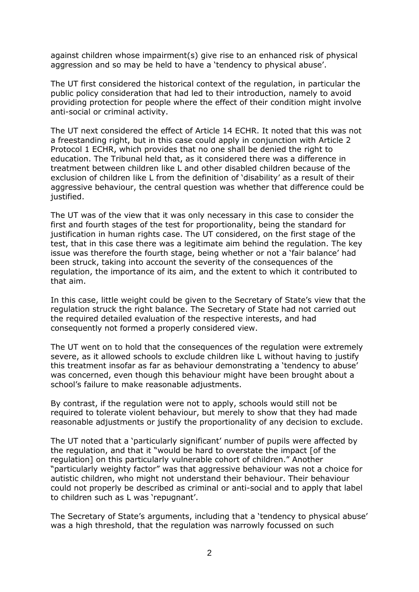against children whose impairment(s) give rise to an enhanced risk of physical aggression and so may be held to have a 'tendency to physical abuse'.

The UT first considered the historical context of the regulation, in particular the public policy consideration that had led to their introduction, namely to avoid providing protection for people where the effect of their condition might involve anti-social or criminal activity.

The UT next considered the effect of Article 14 ECHR. It noted that this was not a freestanding right, but in this case could apply in conjunction with Article 2 Protocol 1 ECHR, which provides that no one shall be denied the right to education. The Tribunal held that, as it considered there was a difference in treatment between children like L and other disabled children because of the exclusion of children like L from the definition of 'disability' as a result of their aggressive behaviour, the central question was whether that difference could be justified.

The UT was of the view that it was only necessary in this case to consider the first and fourth stages of the test for proportionality, being the standard for justification in human rights case. The UT considered, on the first stage of the test, that in this case there was a legitimate aim behind the regulation. The key issue was therefore the fourth stage, being whether or not a 'fair balance' had been struck, taking into account the severity of the consequences of the regulation, the importance of its aim, and the extent to which it contributed to that aim.

In this case, little weight could be given to the Secretary of State's view that the regulation struck the right balance. The Secretary of State had not carried out the required detailed evaluation of the respective interests, and had consequently not formed a properly considered view.

The UT went on to hold that the consequences of the regulation were extremely severe, as it allowed schools to exclude children like L without having to justify this treatment insofar as far as behaviour demonstrating a 'tendency to abuse' was concerned, even though this behaviour might have been brought about a school's failure to make reasonable adjustments.

By contrast, if the regulation were not to apply, schools would still not be required to tolerate violent behaviour, but merely to show that they had made reasonable adjustments or justify the proportionality of any decision to exclude.

The UT noted that a 'particularly significant' number of pupils were affected by the regulation, and that it "would be hard to overstate the impact [of the regulation] on this particularly vulnerable cohort of children." Another "particularly weighty factor" was that aggressive behaviour was not a choice for autistic children, who might not understand their behaviour. Their behaviour could not properly be described as criminal or anti-social and to apply that label to children such as L was 'repugnant'.

The Secretary of State's arguments, including that a 'tendency to physical abuse' was a high threshold, that the regulation was narrowly focussed on such